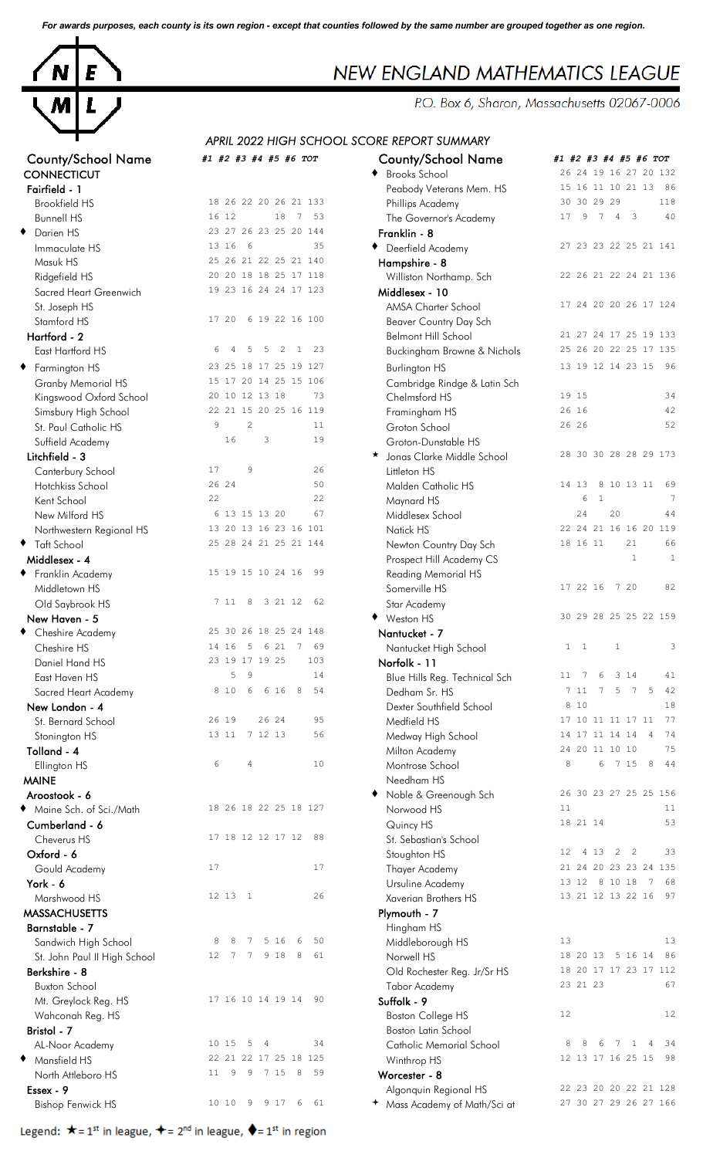*For awards purposes, each county is its own region - except that counties followed by the same number are grouped together as one region.*



| County/School Name                            | #1 #2 #3 #4 #5 #6 TOT                                    | County/School Name                              | #1 #2 #3 #4 #5 #6 TOT                         |
|-----------------------------------------------|----------------------------------------------------------|-------------------------------------------------|-----------------------------------------------|
| <b>CONNECTICUT</b>                            |                                                          | <b>Brooks School</b>                            | 26 24 19 16 27 20 132                         |
| Fairfield - 1                                 |                                                          | Peabody Veterans Mem. HS                        | 15 16 11 10 21 13 86<br>30 30 29 29<br>118    |
| <b>Brookfield HS</b>                          | 18 26 22 20 26 21 133                                    | Phillips Academy                                | 9 7                                           |
| <b>Bunnell HS</b>                             | 16 12<br>18<br>7 53<br>23 27 26 23 25 20 144             | The Governor's Academy                          | $4 \quad 3$<br>40<br>17                       |
| ٠<br>Darien HS                                | 13 16 6<br>35                                            | Franklin - 8                                    |                                               |
| Immaculate HS                                 | 25 26 21 22 25 21 140                                    | ◆ Deerfield Academy                             | 27 23 23 22 25 21 141                         |
| Masuk HS                                      | 20 20 18 18 25 17 118                                    | Hampshire - 8                                   | 22 26 21 22 24 21 136                         |
| Ridgefield HS                                 | 19 23 16 24 24 17 123                                    | Williston Northamp. Sch                         |                                               |
| Sacred Heart Greenwich                        |                                                          | Middlesex - 10<br>AMSA Charter School           | 17 24 20 20 26 17 124                         |
| St. Joseph HS<br>Stamford HS                  | 6 19 22 16 100<br>17 20                                  | Beaver Country Day Sch                          |                                               |
| Hartford - 2                                  |                                                          | <b>Belmont Hill School</b>                      | 21 27 24 17 25 19 133                         |
| East Hartford HS                              | $\overline{2}$<br>23<br>5<br>5<br>$\mathbf{1}$<br>6<br>4 | Buckingham Browne & Nichols                     | 25 26 20 22 25 17 135                         |
|                                               | 23 25 18 17 25 19 127                                    |                                                 | 13 19 12 14 23 15 96                          |
| ◆ Farmington HS                               | 15 17 20 14 25 15 106                                    | <b>Burlington HS</b>                            |                                               |
| Granby Memorial HS<br>Kingswood Oxford School | 20 10 12 13 18<br>73                                     | Cambridge Rindge & Latin Sch<br>Chelmsford HS   | 19 15<br>34                                   |
| Simsbury High School                          | 22 21 15 20 25 16 119                                    | Framingham HS                                   | 26 16<br>42                                   |
| St. Paul Catholic HS                          | $\overline{c}$<br>9<br>11                                | Groton School                                   | 26 26<br>52                                   |
| Suffield Academy                              | 16<br>3<br>19                                            | Groton-Dunstable HS                             |                                               |
| Litchfield - 3                                |                                                          | * Jonas Clarke Middle School                    | 28 30 30 28 28 29 173                         |
| Canterbury School                             | 9<br>26<br>17                                            | Littleton HS                                    |                                               |
| Hotchkiss School                              | 26 24<br>50                                              | Malden Catholic HS                              | 14 13<br>8 10 13 11 69                        |
| Kent School                                   | 22<br>22                                                 | Maynard HS                                      | 6<br>$\mathbf{1}$                             |
| New Milford HS                                | 67<br>6 13 15 13 20                                      | Middlesex School                                | 24<br>20<br>44                                |
| Northwestern Regional HS                      | 13 20 13 16 23 16 101                                    | Natick HS                                       | 22 24 21 16 16 20 119                         |
| ◆ Taft School                                 | 25 28 24 21 25 21 144                                    | Newton Country Day Sch                          | 18 16 11<br>21<br>66                          |
| Middlesex - 4                                 |                                                          | Prospect Hill Academy CS                        | $\mathbf{1}$<br>$\mathbf{1}$                  |
| ◆ Franklin Academy                            | 15 19 15 10 24 16<br>99                                  | Reading Memorial HS                             |                                               |
| Middletown HS                                 |                                                          | Somerville HS                                   | 82<br>17 22 16<br>7 20                        |
| Old Saybrook HS                               | 7 11 8 3 21 12<br>62                                     | Star Academy                                    |                                               |
| New Haven - 5                                 |                                                          | ♦ Weston HS                                     | 30 29 28 25 25 22 159                         |
| ◆ Cheshire Academy                            | 25 30 26 18 25 24 148                                    | Nantucket - 7                                   |                                               |
| Cheshire HS                                   | 14 16 5 6 21<br>69<br>$\overline{7}$                     | Nantucket High School                           | $1 \quad 1$<br>$\mathbf{1}$<br>3              |
| Daniel Hand HS                                | 23 19 17 19 25<br>103                                    | Norfolk - 11                                    |                                               |
| East Haven HS                                 | 9<br>5<br>14                                             | Blue Hills Reg. Technical Sch                   | 7<br>6<br>3 14<br>11<br>41                    |
| Sacred Heart Academy                          | 6 16<br>8<br>8 1 0<br>6<br>54                            | Dedham Sr. HS                                   | $\overline{7}$<br>7 5<br>5<br>42<br>7 11      |
| New London - 4                                |                                                          | Dexter Southfield School                        | 8 10<br>18                                    |
| St. Bernard School                            | 26 24<br>26 19<br>95                                     | Medfield HS                                     | 77<br>17 10 11 11 17 11                       |
| Stonington HS                                 | 7 12 13<br>56<br>13 11                                   | Medway High School                              | 14 17 11 14 14<br>74<br>4                     |
| Tolland - 4                                   |                                                          | Milton Academy                                  | 24 20 11 10 10<br>75                          |
| Ellington HS                                  | 6<br>4<br>10                                             | Montrose School                                 | 8<br>8<br>44<br>6<br>7 15                     |
| <b>MAINE</b>                                  |                                                          | Needham HS                                      |                                               |
| Aroostook - 6                                 |                                                          | Noble & Greenough Sch                           | 26 30 23 27 25 25 156                         |
| • Maine Sch. of Sci./Math                     | 18 26 18 22 25 18 127                                    | Norwood HS                                      | 11<br>11                                      |
| Cumberland - 6                                |                                                          | Quincy HS                                       | 53<br>18 21 14                                |
| Cheverus HS                                   | 17 18 12 12 17 12<br>88                                  | St. Sebastian's School                          |                                               |
| Oxford - 6                                    |                                                          | Stoughton HS                                    | $2 \quad 2$<br>33<br>12 <sup>°</sup><br>4 1 3 |
| Gould Academy                                 | 17<br>17                                                 | Thayer Academy                                  | 21 24 20 23 23 24 135                         |
| York - 6                                      |                                                          | Ursuline Academy                                | 68<br>13 12 8 10 18<br>$\overline{7}$         |
| Marshwood HS                                  | 26<br>12 13 1                                            | Xaverian Brothers HS                            | 13 21 12 13 22 16<br>97                       |
| <b>MASSACHUSETTS</b>                          |                                                          | Plymouth - 7                                    |                                               |
| Barnstable - 7                                | 5 16<br>50<br>6<br>7                                     | Hingham HS                                      | 13<br>13                                      |
| Sandwich High School                          | 8<br>8<br>61<br>8                                        | Middleborough HS                                | 18 20 13 5 16 14 86                           |
| St. John Paul II High School                  | 7 9 18<br>12<br>7                                        | Norwell HS                                      | 18 20 17 17 23 17 112                         |
| Berkshire - 8                                 |                                                          | Old Rochester Reg. Jr/Sr HS                     | 23 21 23<br>67                                |
| <b>Buxton School</b>                          | 17 16 10 14 19 14 90                                     | <b>Tabor Academy</b>                            |                                               |
| Mt. Greylock Reg. HS                          |                                                          | Suffolk - 9                                     | 12<br>12                                      |
| Wahconah Reg. HS<br>Bristol - 7               |                                                          | <b>Boston College HS</b><br>Boston Latin School |                                               |
|                                               | 34<br>10 15 5<br>$\overline{4}$                          | Catholic Memorial School                        | 34<br>8<br>-1.<br>4                           |
| AL-Noor Academy<br>◆ Mansfield HS             | 22 21 22 17 25 18 125                                    |                                                 | 12 13 17 16 25 15<br>-98                      |
| North Attleboro HS                            | 9<br>7 15<br>8<br>59<br>11<br>9                          | Winthrop HS<br>Worcester - 8                    |                                               |
| Essex - 9                                     |                                                          | Algonquin Regional HS                           | 22 23 20 20 22 21 128                         |
| <b>Bishop Fenwick HS</b>                      | 10 10<br>61<br>9<br>9 1 7<br>6                           | + Mass Academy of Math/Sci at                   | 27 30 27 29 26 27 166                         |
|                                               |                                                          |                                                 |                                               |

|  |  | Legend: $\star$ = 1 <sup>st</sup> in league, $\star$ = 2 <sup>nd</sup> in league, $\star$ = 1 <sup>st</sup> in region |  |
|--|--|-----------------------------------------------------------------------------------------------------------------------|--|
|--|--|-----------------------------------------------------------------------------------------------------------------------|--|

## NEW ENGLAND MATHEMATICS LEAGUE

P.O. Box 6, Sharon, Massachusetts 02067-0006

*APRIL 2022 HIGH SCHOOL SCORE REPORT SUMMARY*

| <b>County/School Name</b>    | #1 #2 #3 #4 #5 #6 TOT |                   |                |         |         |   |                       | <b>County/School Name</b>     | #1 #2 #3 #4 #5 #6 TOT |                   |              |            |                          |                |                       |
|------------------------------|-----------------------|-------------------|----------------|---------|---------|---|-----------------------|-------------------------------|-----------------------|-------------------|--------------|------------|--------------------------|----------------|-----------------------|
| CONNECTICUT                  |                       |                   |                |         |         |   |                       | <b>Brooks School</b>          |                       |                   |              |            |                          |                | 26 24 19 16 27 20 132 |
| Fairfield - 1                |                       |                   |                |         |         |   |                       | Peabody Veterans Mem. HS      |                       |                   |              |            |                          |                | 15 16 11 10 21 13 86  |
| <b>Brookfield HS</b>         |                       |                   |                |         |         |   | 18 26 22 20 26 21 133 | Phillips Academy              |                       | 30 30 29 29       |              |            |                          |                | 118                   |
| <b>Bunnell HS</b>            | 16 12                 |                   |                |         |         |   | 18 7 53               | The Governor's Academy        | 17                    |                   |              | 9 7 4      | $\overline{\phantom{a}}$ |                | 40                    |
| Darien HS                    |                       |                   |                |         |         |   | 23 27 26 23 25 20 144 | Franklin - 8                  |                       |                   |              |            |                          |                |                       |
| Immaculate HS                |                       | 13 16             | 6              |         |         |   | 35                    | Deerfield Academy<br>٠        |                       |                   |              |            |                          |                | 27 23 23 22 25 21 141 |
| Masuk HS                     |                       |                   |                |         |         |   | 25 26 21 22 25 21 140 | Hampshire - 8                 |                       |                   |              |            |                          |                |                       |
| Ridgefield HS                |                       |                   |                |         |         |   | 20 20 18 18 25 17 118 | Williston Northamp. Sch       |                       |                   |              |            |                          |                | 22 26 21 22 24 21 136 |
| Sacred Heart Greenwich       |                       |                   |                |         |         |   | 19 23 16 24 24 17 123 | Middlesex - 10                |                       |                   |              |            |                          |                |                       |
| St. Joseph HS                |                       |                   |                |         |         |   |                       | AMSA Charter School           |                       |                   |              |            |                          |                | 17 24 20 20 26 17 124 |
| Stamford HS                  |                       |                   |                |         |         |   | 17 20 6 19 22 16 100  | Beaver Country Day Sch        |                       |                   |              |            |                          |                |                       |
| Hartford - 2                 |                       |                   |                |         |         |   |                       | <b>Belmont Hill School</b>    |                       |                   |              |            |                          |                | 21 27 24 17 25 19 133 |
| East Hartford HS             | 6                     | 4                 | 5              | 5       | 2       | 1 | 23                    | Buckingham Browne & Nichols   |                       |                   |              |            |                          |                | 25 26 20 22 25 17 135 |
| Farmington HS                |                       |                   |                |         |         |   | 23 25 18 17 25 19 127 | <b>Burlington HS</b>          |                       | 13 19 12 14 23 15 |              |            |                          |                | 96                    |
|                              |                       |                   |                |         |         |   | 15 17 20 14 25 15 106 |                               |                       |                   |              |            |                          |                |                       |
| Granby Memorial HS           |                       | 20 10 12 13 18    |                |         |         |   | 73                    | Cambridge Rindge & Latin Sch  |                       | 19 15             |              |            |                          |                | 34                    |
| Kingswood Oxford School      |                       |                   |                |         |         |   | 22 21 15 20 25 16 119 | Chelmsford HS                 |                       | 26 16             |              |            |                          |                | 42                    |
| Simsbury High School         |                       |                   |                |         |         |   |                       | Framingham HS                 |                       | 26 26             |              |            |                          |                |                       |
| St. Paul Catholic HS         | $\overline{9}$        |                   | $\overline{c}$ |         |         |   | 11                    | Groton School                 |                       |                   |              |            |                          |                | 52                    |
| Suffield Academy             |                       | 16                |                | 3       |         |   | 19                    | Groton-Dunstable HS           |                       |                   |              |            |                          |                |                       |
| Litchfield - 3               |                       |                   |                |         |         |   |                       | Jonas Clarke Middle School    |                       |                   |              |            |                          |                | 28 30 30 28 28 29 173 |
| Canterbury School            | 17                    |                   | $\mathcal{G}$  |         |         |   | 26                    | Littleton HS                  |                       |                   |              |            |                          |                |                       |
| Hotchkiss School             |                       | 26 24             |                |         |         |   | 50                    | Malden Catholic HS            |                       | 14 13             |              | 8 10 13 11 |                          |                | 69                    |
| Kent School                  | 22                    |                   |                |         |         |   | 22                    | Maynard HS                    |                       | 6                 | $\mathbf{1}$ |            |                          |                | $7\phantom{.0}$       |
| New Milford HS               |                       | 6 13 15 13 20     |                |         |         |   | 67                    | Middlesex School              |                       | 24                |              | 20         |                          |                | 44                    |
| Northwestern Regional HS     |                       |                   |                |         |         |   | 13 20 13 16 23 16 101 | Natick HS                     |                       |                   |              |            |                          |                | 22 24 21 16 16 20 119 |
| Taft School                  |                       |                   |                |         |         |   | 25 28 24 21 25 21 144 | Newton Country Day Sch        |                       | 18 16 11          |              |            | 21                       |                | 66                    |
| Middlesex - 4                |                       |                   |                |         |         |   |                       | Prospect Hill Academy CS      |                       |                   |              |            | $\mathbf{1}$             |                | $\mathbf{1}$          |
| Franklin Academy             |                       | 15 19 15 10 24 16 |                |         |         |   | -99                   | <b>Reading Memorial HS</b>    |                       |                   |              |            |                          |                |                       |
| Middletown HS                |                       |                   |                |         |         |   |                       | Somerville HS                 |                       | 17 22 16          |              |            | 7 20                     |                | 82                    |
| Old Saybrook HS              |                       | 7 11              | 8              |         | 3 21 12 |   | 62                    | Star Academy                  |                       |                   |              |            |                          |                |                       |
| New Haven - 5                |                       |                   |                |         |         |   |                       | ♦ Weston HS                   |                       |                   |              |            |                          |                | 30 29 28 25 25 22 159 |
| Cheshire Academy             |                       |                   |                |         |         |   | 25 30 26 18 25 24 148 | Nantucket - 7                 |                       |                   |              |            |                          |                |                       |
| Cheshire HS                  |                       | 14 16             | -5             |         | 6 21    | 7 | 69                    | Nantucket High School         |                       | $1 \quad 1$       |              | 1          |                          |                | 3                     |
| Daniel Hand HS               |                       | 23 19 17 19 25    |                |         |         |   | 103                   | Norfolk - 11                  |                       |                   |              |            |                          |                |                       |
| East Haven HS                |                       | 5                 | 9              |         |         |   | 14                    | Blue Hills Reg. Technical Sch | 11                    | 7                 | 6            |            | 3 14                     |                | 41                    |
| Sacred Heart Academy         |                       | 8 1 0             | 6              |         | 6 16    | 8 | 54                    | Dedham Sr. HS                 |                       | 7 11              |              | 5          | $\overline{7}$           | 5              | 42                    |
| New London - 4               |                       |                   |                |         |         |   |                       | Dexter Southfield School      |                       | 8 10              |              |            |                          |                | 18                    |
| St. Bernard School           |                       | 26 19             |                |         | 26 24   |   | 95                    | Medfield HS                   |                       | 17 10 11 11 17 11 |              |            |                          |                | 77                    |
| Stonington HS                |                       | 13 11             |                | 7 12 13 |         |   | 56                    | Medway High School            |                       | 14 17 11 14 14    |              |            |                          | $\overline{4}$ | 74                    |
| Tolland - 4                  |                       |                   |                |         |         |   |                       | Milton Academy                |                       | 24 20 11 10 10    |              |            |                          |                | 75                    |
| Ellington HS                 | 6                     |                   | 4              |         |         |   | 10                    | Montrose School               | $\,8\,$               |                   | 6            |            | 7 15                     | 8              | -44                   |
| <b>MAINE</b>                 |                       |                   |                |         |         |   |                       | Needham HS                    |                       |                   |              |            |                          |                |                       |
| Aroostook - 6                |                       |                   |                |         |         |   |                       | Noble & Greenough Sch         |                       |                   |              |            |                          |                | 26 30 23 27 25 25 156 |
|                              |                       |                   |                |         |         |   | 18 26 18 22 25 18 127 | Norwood HS                    | 11                    |                   |              |            |                          |                | 11                    |
| Maine Sch. of Sci./Math      |                       |                   |                |         |         |   |                       |                               |                       | 18 21 14          |              |            |                          |                | 53                    |
| Cumberland - 6               |                       |                   |                |         |         |   |                       | Quincy HS                     |                       |                   |              |            |                          |                |                       |
| Cheverus HS                  |                       | 17 18 12 12 17 12 |                |         |         |   | 88                    | St. Sebastian's School        |                       |                   |              |            |                          |                |                       |
| Oxford - 6                   |                       |                   |                |         |         |   |                       | Stoughton HS                  | 12                    |                   | 4 1 3        | 2          | $\overline{2}$           |                | 33                    |
| Gould Academy                | 17                    |                   |                |         |         |   | 17                    | Thayer Academy                |                       |                   |              |            |                          |                | 21 24 20 23 23 24 135 |
| York - 6                     |                       |                   |                |         |         |   |                       | Ursuline Academy              |                       | 13 12             |              | 8 10 18    |                          | - 7            | 68                    |
| Marshwood HS                 |                       | 12 13 1           |                |         |         |   | 26                    | Xaverian Brothers HS          |                       | 13 21 12 13 22 16 |              |            |                          |                | 97                    |
| <b>MASSACHUSETTS</b>         |                       |                   |                |         |         |   |                       | Plymouth - 7                  |                       |                   |              |            |                          |                |                       |
| Barnstable - 7               |                       |                   |                |         |         |   |                       | Hingham HS                    |                       |                   |              |            |                          |                |                       |
| Sandwich High School         | 8                     | 8                 | 7              |         | 5 16    | 6 | 50                    | Middleborough HS              | 13                    |                   |              |            |                          |                | 13                    |
| St. John Paul II High School | 12                    | 7                 | 7              |         | 9 18    | 8 | 61                    | Norwell HS                    |                       | 18 20 13          |              |            | 5 16 14                  |                | 86                    |
| Berkshire - 8                |                       |                   |                |         |         |   |                       | Old Rochester Reg. Jr/Sr HS   |                       |                   |              |            |                          |                | 18 20 17 17 23 17 112 |
| <b>Buxton School</b>         |                       |                   |                |         |         |   |                       | <b>Tabor Academy</b>          |                       | 23 21 23          |              |            |                          |                | 67                    |
| Mt. Greylock Reg. HS         |                       | 17 16 10 14 19 14 |                |         |         |   | 90                    | Suffolk - 9                   |                       |                   |              |            |                          |                |                       |
| Wahconah Reg. HS             |                       |                   |                |         |         |   |                       | Boston College HS             | 12                    |                   |              |            |                          |                | 12                    |
| Bristol - 7                  |                       |                   |                |         |         |   |                       | Boston Latin School           |                       |                   |              |            |                          |                |                       |
| AL-Noor Academy              |                       | 10 15             | 5 <sub>5</sub> | 4       |         |   | 34                    | Catholic Memorial School      | 8                     |                   | 6            |            | 1                        | 4              | 34                    |
| Mansfield HS                 |                       |                   |                |         |         |   | 22 21 22 17 25 18 125 | Winthrop HS                   |                       | 12 13 17 16 25 15 |              |            |                          |                | -98                   |
| North Attleboro HS           | 11                    | 9                 | 9              |         | 7 15    | 8 | 59                    | Worcester - 8                 |                       |                   |              |            |                          |                |                       |
| Essex - 9                    |                       |                   |                |         |         |   |                       | Algonquin Regional HS         |                       |                   |              |            |                          |                | 22 23 20 20 22 21 128 |
| <b>Bishop Fenwick HS</b>     |                       | 10 10             | 9              |         | 9 1 7   | 6 | 61                    | + Mass Academy of Math/Sci at |                       |                   |              |            |                          |                | 27 30 27 29 26 27 166 |
|                              |                       |                   |                |         |         |   |                       |                               |                       |                   |              |            |                          |                |                       |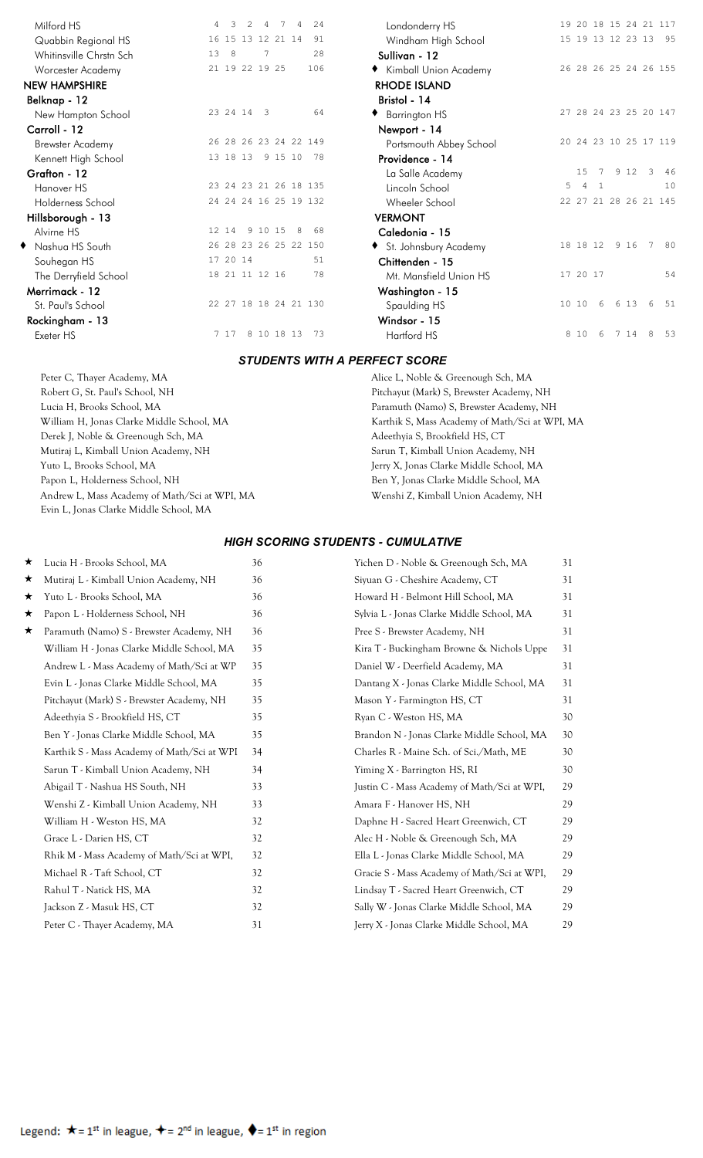| Milford HS              | 4  | 3                 | $\mathcal{L}$ | 4        | 7       | 4 | 24                    | Londonderry HS      |
|-------------------------|----|-------------------|---------------|----------|---------|---|-----------------------|---------------------|
| Quabbin Regional HS     |    | 16 15 13 12 21 14 |               |          |         |   | 91                    | Windham High 9      |
| Whitinsville Chrstn Sch | 13 | 8                 |               | 7        |         |   | 2.8                   | Sullivan - 12       |
| Worcester Academy       |    | 21 19 22 19 25    |               |          |         |   | 106                   | Kimball Union A     |
| <b>NEW HAMPSHIRE</b>    |    |                   |               |          |         |   |                       | <b>RHODE ISLAND</b> |
| Belknap - 12            |    |                   |               |          |         |   |                       | Bristol - 14        |
| New Hampton School      |    | 23 24 14          |               | 3        |         |   | 64                    | Barrington HS       |
| Carroll - 12            |    |                   |               |          |         |   |                       | Newport - 14        |
| <b>Brewster Academy</b> |    |                   |               |          |         |   | 26 28 26 23 24 22 149 | Portsmouth Abbe     |
| Kennett High School     |    | 13 18 13          |               |          | 9 15 10 |   | 78                    | Providence - 14     |
| Grafton - 12            |    |                   |               |          |         |   |                       | La Salle Academ     |
| Hanover HS              |    |                   |               |          |         |   | 23 24 23 21 26 18 135 | Lincoln School      |
| Holderness School       |    |                   |               |          |         |   | 24 24 24 16 25 19 132 | Wheeler School      |
| Hillsborough - 13       |    |                   |               |          |         |   |                       | <b>VERMONT</b>      |
| Alvirne HS              |    | 12 14             |               | 9 10 15  |         | 8 | 68                    | Caledonia - 15      |
| Nashua HS South         |    |                   |               |          |         |   | 26 28 23 26 25 22 150 | St. Johnsbury Ac    |
| Souhegan HS             |    | 17 20 14          |               |          |         |   | 51                    | Chittenden - 15     |
| The Derryfield School   |    | 18 21 11 12 16    |               |          |         |   | 78                    | Mt. Mansfield Ur    |
| Merrimack - 12          |    |                   |               |          |         |   |                       | Washington - 15     |
| St. Paul's School       |    |                   |               |          |         |   | 22 27 18 18 24 21 130 | Spaulding HS        |
| Rockingham - 13         |    |                   |               |          |         |   |                       | Windsor - 15        |
| Exeter HS               |    | 7 17              | 8             | 10 18 13 |         |   | 73                    | Hartford HS         |
|                         |    |                   |               |          |         |   |                       |                     |

| Milford HS              | $\overline{4}$ | 3                 | $\mathfrak{D}$ | $\overline{4}$           | 7 | $\overline{4}$        | 2.4 | Londonderry HS          |   |                |   |       |                | 19 20 18 15 24 21 117 |
|-------------------------|----------------|-------------------|----------------|--------------------------|---|-----------------------|-----|-------------------------|---|----------------|---|-------|----------------|-----------------------|
| Quabbin Regional HS     |                | 16 15 13 12 21 14 |                |                          |   |                       | 91  | Windham High School     |   |                |   |       |                | 15 19 13 12 23 13 95  |
| Whitinsville Chrstn Sch | 13             | - 8               |                | 7                        |   |                       | 28  | Sullivan - 12           |   |                |   |       |                |                       |
| Worcester Academy       |                | 21 19 22 19 25    |                |                          |   |                       | 106 | ◆ Kimball Union Academy |   |                |   |       |                | 26 28 26 25 24 26 155 |
| <b>NEW HAMPSHIRE</b>    |                |                   |                |                          |   |                       |     | <b>RHODE ISLAND</b>     |   |                |   |       |                |                       |
| Belknap - 12            |                |                   |                |                          |   |                       |     | Bristol - 14            |   |                |   |       |                |                       |
| New Hampton School      |                | 23 24 14          |                | $\overline{\phantom{a}}$ |   |                       | 64  | ◆ Barrington HS         |   |                |   |       |                | 27 28 24 23 25 20 147 |
| Carroll - 12            |                |                   |                |                          |   |                       |     | Newport - 14            |   |                |   |       |                |                       |
| <b>Brewster Academy</b> |                |                   |                |                          |   | 26 28 26 23 24 22 149 |     | Portsmouth Abbey School |   |                |   |       |                | 20 24 23 10 25 17 119 |
| Kennett High School     |                | 13 18 13          |                |                          |   | 9 15 10 78            |     | Providence - 14         |   |                |   |       |                |                       |
| Grafton - 12            |                |                   |                |                          |   |                       |     | La Salle Academy        |   | 15             |   | 9 1 2 | $\overline{3}$ | - 46                  |
| Hanover HS              |                |                   |                |                          |   | 23 24 23 21 26 18 135 |     | Lincoln School          | 5 | $\overline{4}$ |   |       |                | 10                    |
| Holderness School       |                |                   |                |                          |   | 24 24 24 16 25 19 132 |     | Wheeler School          |   |                |   |       |                | 22 27 21 28 26 21 145 |
| Hillsborough - 13       |                |                   |                |                          |   |                       |     | <b>VERMONT</b>          |   |                |   |       |                |                       |
| Alvirne HS              |                | 12 14             |                | 9 10 15                  |   | 8                     | 68  | Caledonia - 15          |   |                |   |       |                |                       |
| ◆ Nashua HS South       |                |                   |                |                          |   | 26 28 23 26 25 22 150 |     | St. Johnsbury Academy   |   | 18 18 12       |   | 9 16  |                | 7 80                  |
| Souhegan HS             |                | 17 20 14          |                |                          |   |                       | 51  | Chittenden - 15         |   |                |   |       |                |                       |
| The Derryfield School   |                | 18 21 11 12 16    |                |                          |   |                       | 78  | Mt. Mansfield Union HS  |   | 17 20 17       |   |       |                | 54                    |
| Merrimack - 12          |                |                   |                |                          |   |                       |     | Washington - 15         |   |                |   |       |                |                       |
| St. Paul's School       |                |                   |                |                          |   | 22 27 18 18 24 21 130 |     | Spaulding HS            |   | 10 10          | 6 | 6 13  | 6              | 51                    |
| Rockingham - 13         |                |                   |                |                          |   |                       |     | Windsor - 15            |   |                |   |       |                |                       |
| Exeter HS               |                | 7 17              |                | 8 10 18 13               |   |                       | 73  | Hartford HS             |   | 8 10           |   | 14    |                | -53                   |
|                         |                |                   |                |                          |   |                       |     |                         |   |                |   |       |                |                       |

## *STUDENTS WITH A PERFECT SCORE*

Robert G, St. Paul's School, NH Pitchayut (Mark) S, Brewster Academy, NH Lucia H, Brooks School, MA Paramuth (Namo) S, Brewster Academy, NH Derek J, Noble & Greenough Sch, MA Adeethyia S, Brookfield HS, CT Mutiraj L, Kimball Union Academy, NH Sarun T, Kimball Union Academy, NH Yuto L, Brooks School, MA Jerry X, Jonas Clarke Middle School, MA Papon L, Holderness School, NH Ben Y, Jonas Clarke Middle School, MA Andrew L, Mass Academy of Math/Sci at WPI, MA Wenshi Z, Kimball Union Academy, NH Evin L, Jonas Clarke Middle School, MA

Peter C, Thayer Academy, MA Alice L, Noble & Greenough Sch, MA William H, Jonas Clarke Middle School, MA Karthik S, Mass Academy of Math/Sci at WPI, MA

## *HIGH SCORING STUDENTS - CUMULATIVE*

| * | Lucia H - Brooks School, MA                 | 36 | Yichen D - Noble & Greenough Sch, MA        | 31 |
|---|---------------------------------------------|----|---------------------------------------------|----|
| ★ | Mutiraj L - Kimball Union Academy, NH       | 36 | Siyuan G - Cheshire Academy, CT             | 31 |
| ★ | Yuto L - Brooks School, MA                  | 36 | Howard H - Belmont Hill School, MA          | 31 |
| ★ | Papon L - Holderness School, NH             | 36 | Sylvia L - Jonas Clarke Middle School, MA   | 31 |
| ★ | Paramuth (Namo) S - Brewster Academy, NH    | 36 | Pree S - Brewster Academy, NH               | 31 |
|   | William H - Jonas Clarke Middle School, MA  | 35 | Kira T - Buckingham Browne & Nichols Uppe   | 31 |
|   | Andrew L - Mass Academy of Math/Sci at WP   | 35 | Daniel W - Deerfield Academy, MA            | 31 |
|   | Evin L - Jonas Clarke Middle School, MA     | 35 | Dantang X - Jonas Clarke Middle School, MA  | 31 |
|   | Pitchayut (Mark) S - Brewster Academy, NH   | 35 | Mason Y - Farmington HS, CT                 | 31 |
|   | Adeethyia S - Brookfield HS, CT             | 35 | Ryan C - Weston HS, MA                      | 30 |
|   | Ben Y - Jonas Clarke Middle School, MA      | 35 | Brandon N - Jonas Clarke Middle School, MA  | 30 |
|   | Karthik S - Mass Academy of Math/Sci at WPI | 34 | Charles R - Maine Sch. of Sci./Math, ME     | 30 |
|   | Sarun T - Kimball Union Academy, NH         | 34 | Yiming X - Barrington HS, RI                | 30 |
|   | Abigail T - Nashua HS South, NH             | 33 | Justin C - Mass Academy of Math/Sci at WPI, | 29 |
|   | Wenshi Z - Kimball Union Academy, NH        | 33 | Amara F - Hanover HS, NH                    | 29 |
|   | William H - Weston HS, MA                   | 32 | Daphne H - Sacred Heart Greenwich, CT       | 29 |
|   | Grace L - Darien HS, CT                     | 32 | Alec H - Noble & Greenough Sch, MA          | 29 |
|   | Rhik M - Mass Academy of Math/Sci at WPI,   | 32 | Ella L - Jonas Clarke Middle School, MA     | 29 |
|   | Michael R - Taft School, CT                 | 32 | Gracie S - Mass Academy of Math/Sci at WPI, | 29 |
|   | Rahul T - Natick HS, MA                     | 32 | Lindsay T - Sacred Heart Greenwich, CT      | 29 |
|   | Jackson Z - Masuk HS, CT                    | 32 | Sally W - Jonas Clarke Middle School, MA    | 29 |
|   | Peter C - Thayer Academy, MA                | 31 | Jerry X - Jonas Clarke Middle School, MA    | 29 |